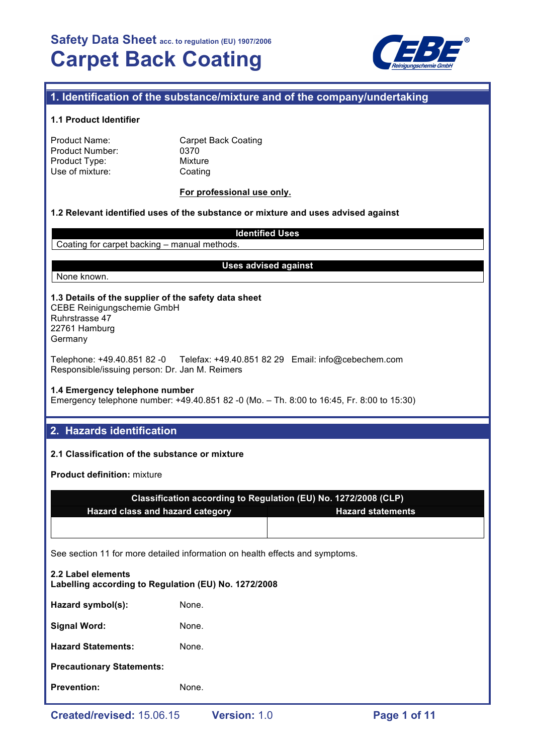

# **1. Identification of the substance/mixture and of the company/undertaking**

#### **1.1 Product Identifier**

| Product Name:          |  |
|------------------------|--|
| <b>Product Number:</b> |  |
| Product Type:          |  |
| Use of mixture:        |  |

**Carpet Back Coating** 0370 **Mixture** Coating

#### **For professional use only.**

### **1.2 Relevant identified uses of the substance or mixture and uses advised against**

**Identified Uses**

Coating for carpet backing – manual methods.

#### **Uses advised against**

## None known.

**1.3 Details of the supplier of the safety data sheet** CEBE Reinigungschemie GmbH

Ruhrstrasse 47 22761 Hamburg Germany

Telephone: +49.40.851 82 -0 Telefax: +49.40.851 82 29 Email: info@cebechem.com Responsible/issuing person: Dr. Jan M. Reimers

### **1.4 Emergency telephone number**

Emergency telephone number: +49.40.851 82 -0 (Mo. – Th. 8:00 to 16:45, Fr. 8:00 to 15:30)

## **2. Hazards identification**

### **2.1 Classification of the substance or mixture**

**Product definition:** mixture

| Classification according to Regulation (EU) No. 1272/2008 (CLP) |                          |  |  |  |
|-----------------------------------------------------------------|--------------------------|--|--|--|
| Hazard class and hazard category                                | <b>Hazard statements</b> |  |  |  |
|                                                                 |                          |  |  |  |

See section 11 for more detailed information on health effects and symptoms.

| <b>Prevention:</b>                                                         | None. |  |  |  |
|----------------------------------------------------------------------------|-------|--|--|--|
| <b>Precautionary Statements:</b>                                           |       |  |  |  |
| <b>Hazard Statements:</b>                                                  | None. |  |  |  |
| <b>Signal Word:</b>                                                        | None. |  |  |  |
| Hazard symbol(s):                                                          | None. |  |  |  |
| 2.2 Label elements<br>Labelling according to Regulation (EU) No. 1272/2008 |       |  |  |  |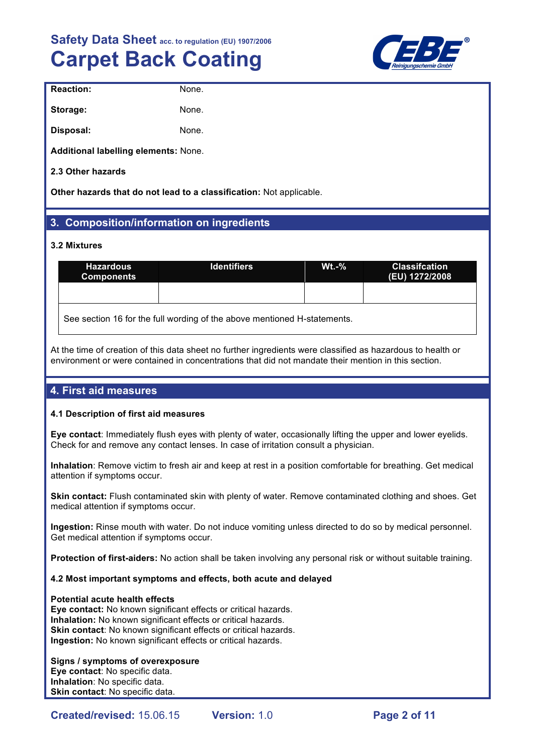

| <b>Reaction:</b>                     | None. |
|--------------------------------------|-------|
| Storage:                             | None. |
| Disposal:                            | None. |
| Additional labelling elements: None. |       |

**2.3 Other hazards**

**Other hazards that do not lead to a classification:** Not applicable.

# **3. Composition/information on ingredients**

#### **3.2 Mixtures**

| <b>Hazardous</b><br><b>Components</b>                                    | <b>Identifiers</b> | $Wt - %$ | <b>Classifcation</b><br>(EU) 1272/2008 |  |  |
|--------------------------------------------------------------------------|--------------------|----------|----------------------------------------|--|--|
|                                                                          |                    |          |                                        |  |  |
| See section 16 for the full wording of the above mentioned H-statements. |                    |          |                                        |  |  |

At the time of creation of this data sheet no further ingredients were classified as hazardous to health or environment or were contained in concentrations that did not mandate their mention in this section.

# **4. First aid measures**

#### **4.1 Description of first aid measures**

**Eye contact**: Immediately flush eyes with plenty of water, occasionally lifting the upper and lower eyelids. Check for and remove any contact lenses. In case of irritation consult a physician.

**Inhalation**: Remove victim to fresh air and keep at rest in a position comfortable for breathing. Get medical attention if symptoms occur.

**Skin contact:** Flush contaminated skin with plenty of water. Remove contaminated clothing and shoes. Get medical attention if symptoms occur.

**Ingestion:** Rinse mouth with water. Do not induce vomiting unless directed to do so by medical personnel. Get medical attention if symptoms occur.

**Protection of first-aiders:** No action shall be taken involving any personal risk or without suitable training.

#### **4.2 Most important symptoms and effects, both acute and delayed**

#### **Potential acute health effects**

**Eye contact:** No known significant effects or critical hazards. **Inhalation:** No known significant effects or critical hazards. **Skin contact**: No known significant effects or critical hazards. **Ingestion:** No known significant effects or critical hazards.

#### **Signs / symptoms of overexposure Eye contact**: No specific data. **Inhalation**: No specific data. **Skin contact**: No specific data.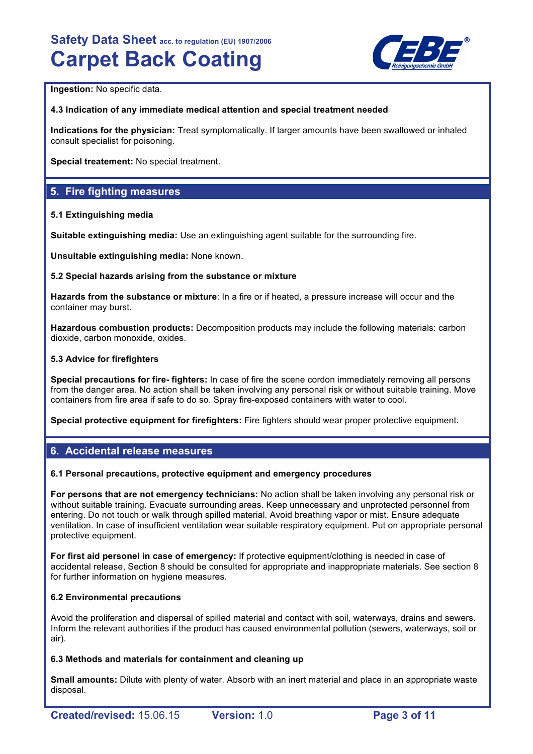

**Ingestion: No specific data.** 

#### **4.3 Indication of any immediate medical attention and special treatment needed**

**Indications for the physician:** Treat symptomatically. If larger amounts have been swallowed or inhaled consult specialist for poisoning.

**Special treatement:** No special treatment.

## **5. Fire fighting measures**

#### **5.1 Extinguishing media**

**Suitable extinguishing media:** Use an extinguishing agent suitable for the surrounding fire.

**Unsuitable extinguishing media:** None known.

#### **5.2 Special hazards arising from the substance or mixture**

**Hazards from the substance or mixture**: In a fire or if heated, a pressure increase will occur and the container may burst.

**Hazardous combustion products:** Decomposition products may include the following materials: carbon dioxide, carbon monoxide, oxides.

#### **5.3 Advice for firefighters**

**Special precautions for fire- fighters:** In case of fire the scene cordon immediately removing all persons from the danger area. No action shall be taken involving any personal risk or without suitable training. Move containers from fire area if safe to do so. Spray fire-exposed containers with water to cool.

**Special protective equipment for firefighters:** Fire fighters should wear proper protective equipment.

## **6. Accidental release measures**

#### **6.1 Personal precautions, protective equipment and emergency procedures**

**For persons that are not emergency technicians:** No action shall be taken involving any personal risk or without suitable training. Evacuate surrounding areas. Keep unnecessary and unprotected personnel from entering. Do not touch or walk through spilled material. Avoid breathing vapor or mist. Ensure adequate ventilation. In case of insufficient ventilation wear suitable respiratory equipment. Put on appropriate personal protective equipment.

**For first aid personel in case of emergency:** If protective equipment/clothing is needed in case of accidental release, Section 8 should be consulted for appropriate and inappropriate materials. See section 8 for further information on hygiene measures.

#### **6.2 Environmental precautions**

Avoid the proliferation and dispersal of spilled material and contact with soil, waterways, drains and sewers. Inform the relevant authorities if the product has caused environmental pollution (sewers, waterways, soil or air).

#### **6.3 Methods and materials for containment and cleaning up**

**Small amounts:** Dilute with plenty of water. Absorb with an inert material and place in an appropriate waste disposal.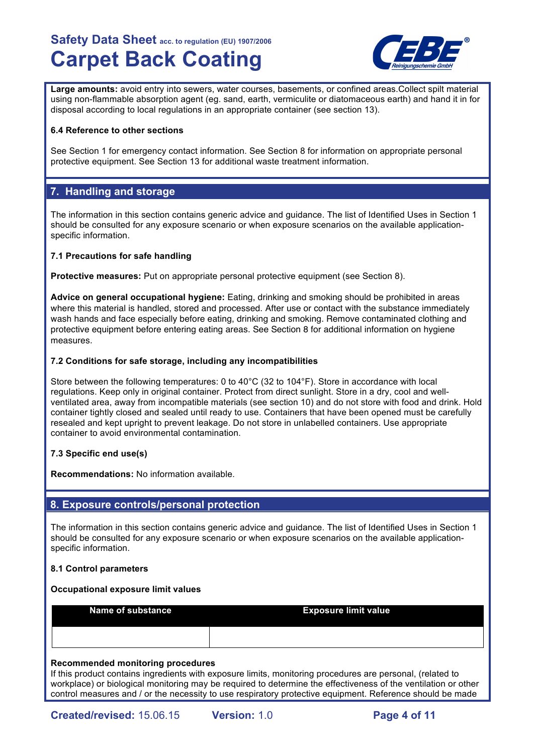

**Large amounts:** avoid entry into sewers, water courses, basements, or confined areas.Collect spilt material using non-flammable absorption agent (eg. sand, earth, vermiculite or diatomaceous earth) and hand it in for disposal according to local regulations in an appropriate container (see section 13).

#### **6.4 Reference to other sections**

See Section 1 for emergency contact information. See Section 8 for information on appropriate personal protective equipment. See Section 13 for additional waste treatment information.

## **7. Handling and storage**

The information in this section contains generic advice and guidance. The list of Identified Uses in Section 1 should be consulted for any exposure scenario or when exposure scenarios on the available applicationspecific information.

#### **7.1 Precautions for safe handling**

**Protective measures:** Put on appropriate personal protective equipment (see Section 8).

**Advice on general occupational hygiene:** Eating, drinking and smoking should be prohibited in areas where this material is handled, stored and processed. After use or contact with the substance immediately wash hands and face especially before eating, drinking and smoking. Remove contaminated clothing and protective equipment before entering eating areas. See Section 8 for additional information on hygiene measures.

#### **7.2 Conditions for safe storage, including any incompatibilities**

Store between the following temperatures: 0 to 40°C (32 to 104°F). Store in accordance with local regulations. Keep only in original container. Protect from direct sunlight. Store in a dry, cool and wellventilated area, away from incompatible materials (see section 10) and do not store with food and drink. Hold container tightly closed and sealed until ready to use. Containers that have been opened must be carefully resealed and kept upright to prevent leakage. Do not store in unlabelled containers. Use appropriate container to avoid environmental contamination.

#### **7.3 Specific end use(s)**

**Recommendations:** No information available.

## **8. Exposure controls/personal protection**

The information in this section contains generic advice and guidance. The list of Identified Uses in Section 1 should be consulted for any exposure scenario or when exposure scenarios on the available applicationspecific information.

#### **8.1 Control parameters**

#### **Occupational exposure limit values**

**Name of substance <b>Exposure limit value** 

#### **Recommended monitoring procedures**

If this product contains ingredients with exposure limits, monitoring procedures are personal, (related to workplace) or biological monitoring may be required to determine the effectiveness of the ventilation or other control measures and / or the necessity to use respiratory protective equipment. Reference should be made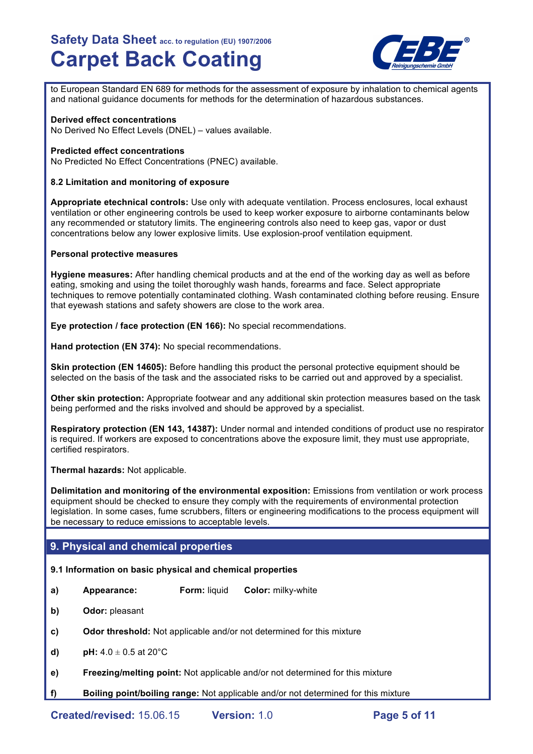

to European Standard EN 689 for methods for the assessment of exposure by inhalation to chemical agents and national guidance documents for methods for the determination of hazardous substances.

#### **Derived effect concentrations**

No Derived No Effect Levels (DNEL) – values available.

#### **Predicted effect concentrations**

No Predicted No Effect Concentrations (PNEC) available.

#### **8.2 Limitation and monitoring of exposure**

**Appropriate etechnical controls:** Use only with adequate ventilation. Process enclosures, local exhaust ventilation or other engineering controls be used to keep worker exposure to airborne contaminants below any recommended or statutory limits. The engineering controls also need to keep gas, vapor or dust concentrations below any lower explosive limits. Use explosion-proof ventilation equipment.

#### **Personal protective measures**

**Hygiene measures:** After handling chemical products and at the end of the working day as well as before eating, smoking and using the toilet thoroughly wash hands, forearms and face. Select appropriate techniques to remove potentially contaminated clothing. Wash contaminated clothing before reusing. Ensure that eyewash stations and safety showers are close to the work area.

**Eye protection / face protection (EN 166):** No special recommendations.

**Hand protection (EN 374):** No special recommendations.

**Skin protection (EN 14605):** Before handling this product the personal protective equipment should be selected on the basis of the task and the associated risks to be carried out and approved by a specialist.

**Other skin protection:** Appropriate footwear and any additional skin protection measures based on the task being performed and the risks involved and should be approved by a specialist.

**Respiratory protection (EN 143, 14387):** Under normal and intended conditions of product use no respirator is required. If workers are exposed to concentrations above the exposure limit, they must use appropriate, certified respirators.

**Thermal hazards:** Not applicable.

**Delimitation and monitoring of the environmental exposition:** Emissions from ventilation or work process equipment should be checked to ensure they comply with the requirements of environmental protection legislation. In some cases, fume scrubbers, filters or engineering modifications to the process equipment will be necessary to reduce emissions to acceptable levels.

## **9. Physical and chemical properties**

#### **9.1 Information on basic physical and chemical properties**

- **a) Appearance: Form:** liquid **Color:** milky-white
- **b) Odor:** pleasant
- **c) Odor threshold:** Not applicable and/or not determined for this mixture
- **d) pH:**  $4.0 \pm 0.5$  at  $20^{\circ}$ C
- **e) Freezing/melting point:** Not applicable and/or not determined for this mixture
- **f) Boiling point/boiling range:** Not applicable and/or not determined for this mixture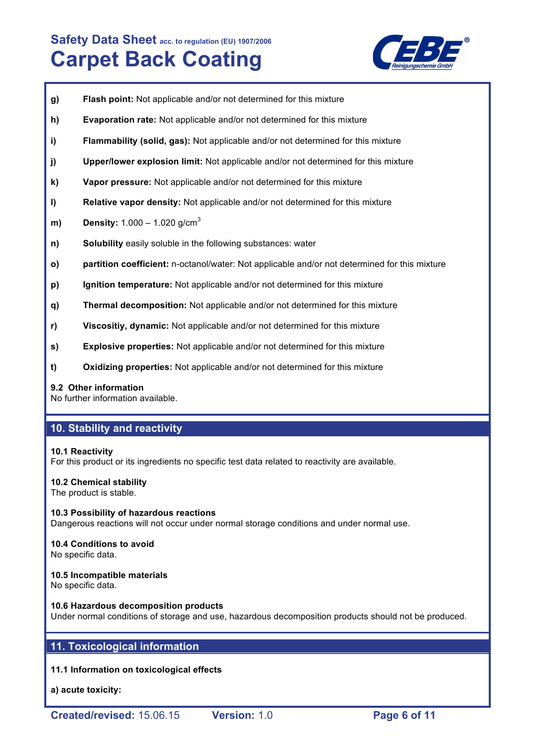

- **g) Flash point:** Not applicable and/or not determined for this mixture
- **h) Evaporation rate:** Not applicable and/or not determined for this mixture
- **i) Flammability (solid, gas):** Not applicable and/or not determined for this mixture
- **j) Upper/lower explosion limit:** Not applicable and/or not determined for this mixture
- **k) Vapor pressure:** Not applicable and/or not determined for this mixture
- **l) Relative vapor density:** Not applicable and/or not determined for this mixture
- **m) Density:** 1.000 1.020 g/cm<sup>3</sup>
- **n) Solubility** easily soluble in the following substances: water
- **o) partition coefficient:** n-octanol/water: Not applicable and/or not determined for this mixture
- **p) Ignition temperature:** Not applicable and/or not determined for this mixture
- **q) Thermal decomposition:** Not applicable and/or not determined for this mixture
- **r) Viscositiy, dynamic:** Not applicable and/or not determined for this mixture
- **s) Explosive properties:** Not applicable and/or not determined for this mixture
- **t) Oxidizing properties:** Not applicable and/or not determined for this mixture

#### **9.2 Other information**

No further information available.

## **10. Stability and reactivity**

#### **10.1 Reactivity**

For this product or its ingredients no specific test data related to reactivity are available.

#### **10.2 Chemical stability**

The product is stable.

**10.3 Possibility of hazardous reactions** Dangerous reactions will not occur under normal storage conditions and under normal use.

## **10.4 Conditions to avoid**

No specific data.

#### **10.5 Incompatible materials**

No specific data.

#### **10.6 Hazardous decomposition products**

Under normal conditions of storage and use, hazardous decomposition products should not be produced.

# **11. Toxicological information**

#### **11.1 Information on toxicological effects**

**a) acute toxicity:**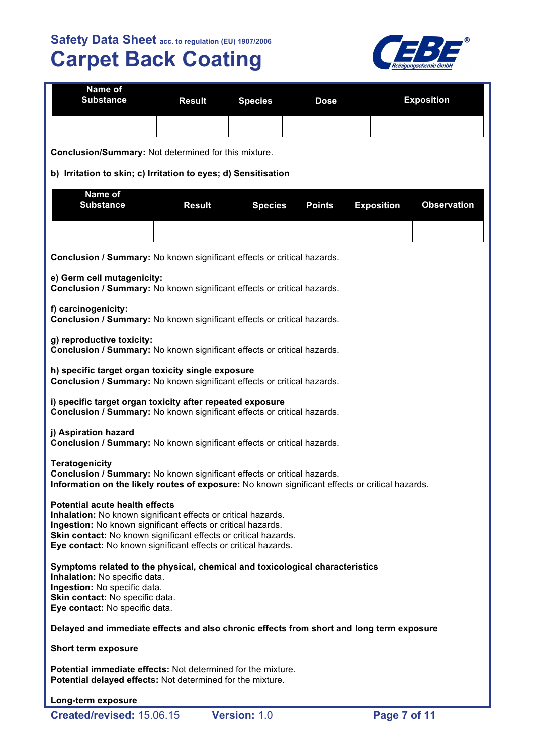

| <b>Name of</b><br><b>Substance</b> | <b>Result Species</b> | <b>Dose</b> | <b>Exposition</b> |
|------------------------------------|-----------------------|-------------|-------------------|
|                                    |                       |             |                   |

**Conclusion/Summary:** Not determined for this mixture.

### **b) Irritation to skin; c) Irritation to eyes; d) Sensitisation**

| Name of<br><b>Substance</b> | Result |  | Species Points Exposition Observation |  |
|-----------------------------|--------|--|---------------------------------------|--|
|                             |        |  |                                       |  |

**Conclusion / Summary:** No known significant effects or critical hazards.

**e) Germ cell mutagenicity:**

**Conclusion / Summary:** No known significant effects or critical hazards.

#### **f) carcinogenicity:**

**Conclusion / Summary:** No known significant effects or critical hazards.

**g) reproductive toxicity:**

**Conclusion / Summary:** No known significant effects or critical hazards.

**h) specific target organ toxicity single exposure Conclusion / Summary:** No known significant effects or critical hazards.

**i) specific target organ toxicity after repeated exposure Conclusion / Summary:** No known significant effects or critical hazards.

#### **j) Aspiration hazard**

**Conclusion / Summary:** No known significant effects or critical hazards.

**Teratogenicity Conclusion / Summary:** No known significant effects or critical hazards. **Information on the likely routes of exposure:** No known significant effects or critical hazards.

#### **Potential acute health effects**

**Inhalation:** No known significant effects or critical hazards. **Ingestion:** No known significant effects or critical hazards. **Skin contact:** No known significant effects or critical hazards. **Eye contact:** No known significant effects or critical hazards.

**Symptoms related to the physical, chemical and toxicological characteristics Inhalation:** No specific data.

**Ingestion:** No specific data. **Skin contact: No specific data. Eye contact:** No specific data.

## **Delayed and immediate effects and also chronic effects from short and long term exposure**

**Short term exposure**

**Potential immediate effects:** Not determined for the mixture. **Potential delayed effects:** Not determined for the mixture.

#### **Long-term exposure**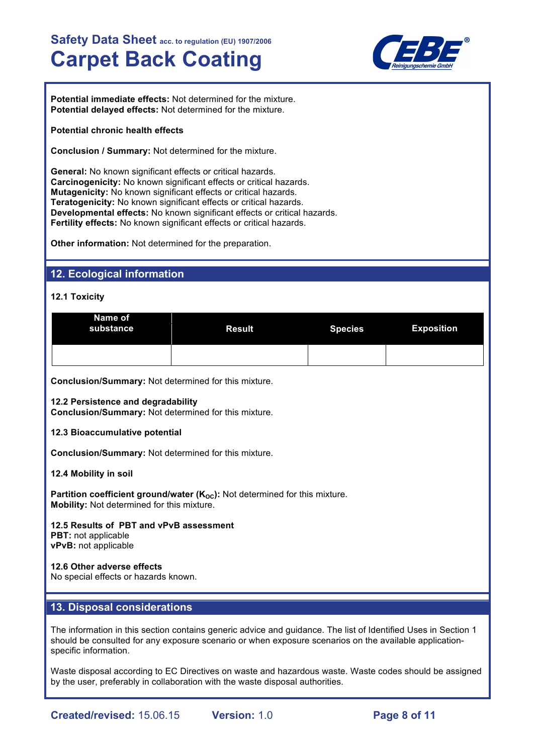

**Potential immediate effects:** Not determined for the mixture. **Potential delayed effects:** Not determined for the mixture.

#### **Potential chronic health effects**

**Conclusion / Summary:** Not determined for the mixture.

**General:** No known significant effects or critical hazards. **Carcinogenicity:** No known significant effects or critical hazards. **Mutagenicity:** No known significant effects or critical hazards. **Teratogenicity:** No known significant effects or critical hazards. **Developmental effects:** No known significant effects or critical hazards. **Fertility effects:** No known significant effects or critical hazards.

**Other information:** Not determined for the preparation.

## **12. Ecological information**

#### **12.1 Toxicity**

| Name of<br>substance | <b>Result</b> | <b>Species</b> | <b>Exposition</b> |
|----------------------|---------------|----------------|-------------------|
|                      |               |                |                   |

**Conclusion/Summary:** Not determined for this mixture.

**12.2 Persistence and degradability**

**Conclusion/Summary:** Not determined for this mixture.

#### **12.3 Bioaccumulative potential**

**Conclusion/Summary:** Not determined for this mixture.

**12.4 Mobility in soil**

**Partition coefficient ground/water (K<sub>OC</sub>):** Not determined for this mixture. **Mobility:** Not determined for this mixture.

# **12.5 Results of PBT and vPvB assessment PBT:** not applicable

**vPvB:** not applicable

#### **12.6 Other adverse effects** No special effects or hazards known.

# **13. Disposal considerations**

The information in this section contains generic advice and guidance. The list of Identified Uses in Section 1 should be consulted for any exposure scenario or when exposure scenarios on the available applicationspecific information.

Waste disposal according to EC Directives on waste and hazardous waste. Waste codes should be assigned by the user, preferably in collaboration with the waste disposal authorities.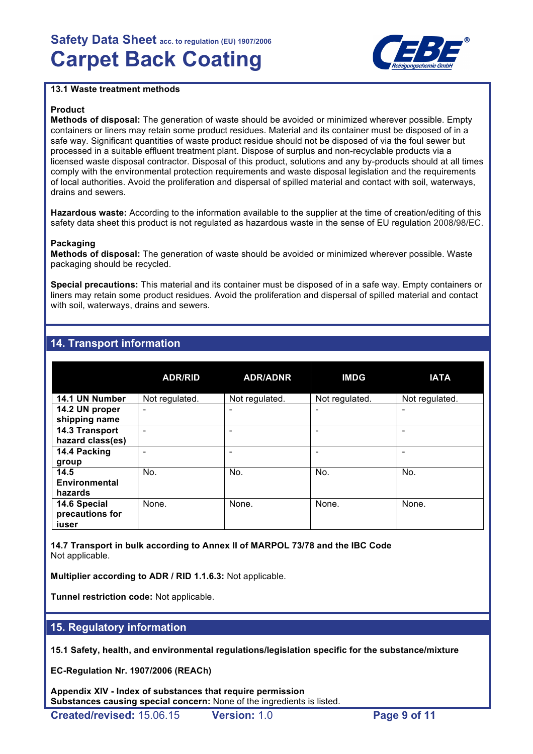

#### **13.1 Waste treatment methods**

#### **Product**

**Methods of disposal:** The generation of waste should be avoided or minimized wherever possible. Empty containers or liners may retain some product residues. Material and its container must be disposed of in a safe way. Significant quantities of waste product residue should not be disposed of via the foul sewer but processed in a suitable effluent treatment plant. Dispose of surplus and non-recyclable products via a licensed waste disposal contractor. Disposal of this product, solutions and any by-products should at all times comply with the environmental protection requirements and waste disposal legislation and the requirements of local authorities. Avoid the proliferation and dispersal of spilled material and contact with soil, waterways, drains and sewers.

**Hazardous waste:** According to the information available to the supplier at the time of creation/editing of this safety data sheet this product is not regulated as hazardous waste in the sense of EU regulation 2008/98/EC.

#### **Packaging**

**Methods of disposal:** The generation of waste should be avoided or minimized wherever possible. Waste packaging should be recycled.

**Special precautions:** This material and its container must be disposed of in a safe way. Empty containers or liners may retain some product residues. Avoid the proliferation and dispersal of spilled material and contact with soil, waterways, drains and sewers.

## **14. Transport information**

|                                          | <b>ADR/RID</b> | <b>ADR/ADNR</b> | <b>IMDG</b>    | <b>IATA</b>    |
|------------------------------------------|----------------|-----------------|----------------|----------------|
| 14.1 UN Number                           | Not regulated. | Not regulated.  | Not regulated. | Not regulated. |
| 14.2 UN proper<br>shipping name          | -              |                 |                | ٠              |
| 14.3 Transport<br>hazard class(es)       |                |                 |                |                |
| 14.4 Packing<br>group                    |                |                 |                |                |
| 14.5<br>Environmental<br>hazards         | No.            | No.             | No.            | No.            |
| 14.6 Special<br>precautions for<br>iuser | None.          | None.           | None.          | None.          |

**14.7 Transport in bulk according to Annex II of MARPOL 73/78 and the IBC Code** Not applicable.

**Multiplier according to ADR / RID 1.1.6.3:** Not applicable.

**Tunnel restriction code:** Not applicable.

## **15. Regulatory information**

**15.1 Safety, health, and environmental regulations/legislation specific for the substance/mixture**

**EC-Regulation Nr. 1907/2006 (REACh)**

**Appendix XIV - Index of substances that require permission Substances causing special concern:** None of the ingredients is listed.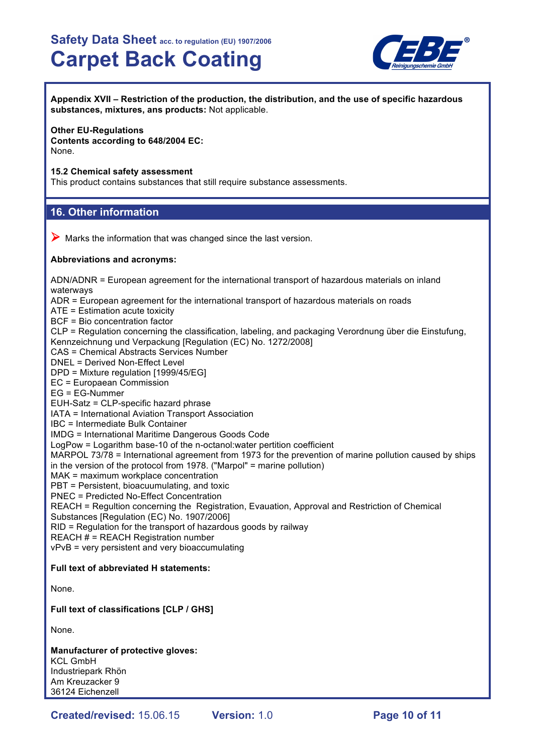

**Appendix XVII – Restriction of the production, the distribution, and the use of specific hazardous substances, mixtures, ans products:** Not applicable.

#### **Other EU-Regulations**

**Contents according to 648/2004 EC:** None.

#### **15.2 Chemical safety assessment**

This product contains substances that still require substance assessments.

#### **16. Other information**

 $\triangleright$  Marks the information that was changed since the last version.

#### **Abbreviations and acronyms:**

ADN/ADNR = European agreement for the international transport of hazardous materials on inland waterways ADR = European agreement for the international transport of hazardous materials on roads ATE = Estimation acute toxicity BCF = Bio concentration factor CLP = Regulation concerning the classification, labeling, and packaging Verordnung über die Einstufung, Kennzeichnung und Verpackung [Regulation (EC) No. 1272/2008] CAS = Chemical Abstracts Services Number DNEL = Derived Non-Effect Level DPD = Mixture regulation [1999/45/EG] EC = Europaean Commission EG = EG-Nummer EUH-Satz = CLP-specific hazard phrase IATA = International Aviation Transport Association IBC = Intermediate Bulk Container IMDG = International Maritime Dangerous Goods Code LogPow = Logarithm base-10 of the n-octanol:water pertition coefficient MARPOL 73/78 = International agreement from 1973 for the prevention of marine pollution caused by ships in the version of the protocol from 1978. ("Marpol" = marine pollution) MAK = maximum workplace concentration PBT = Persistent, bioacuumulating, and toxic PNEC = Predicted No-Effect Concentration REACH = Regultion concerning the Registration, Evauation, Approval and Restriction of Chemical Substances [Regulation (EC) No. 1907/2006] RID = Regulation for the transport of hazardous goods by railway REACH # = REACH Registration number vPvB = very persistent and very bioaccumulating

#### **Full text of abbreviated H statements:**

None.

#### **Full text of classifications [CLP / GHS]**

None.

**Manufacturer of protective gloves:** KCL GmbH Industriepark Rhön Am Kreuzacker 9 36124 Eichenzell

**Created/revised:** 15.06.15 **Version:** 1.0 **Page 10 of 11**